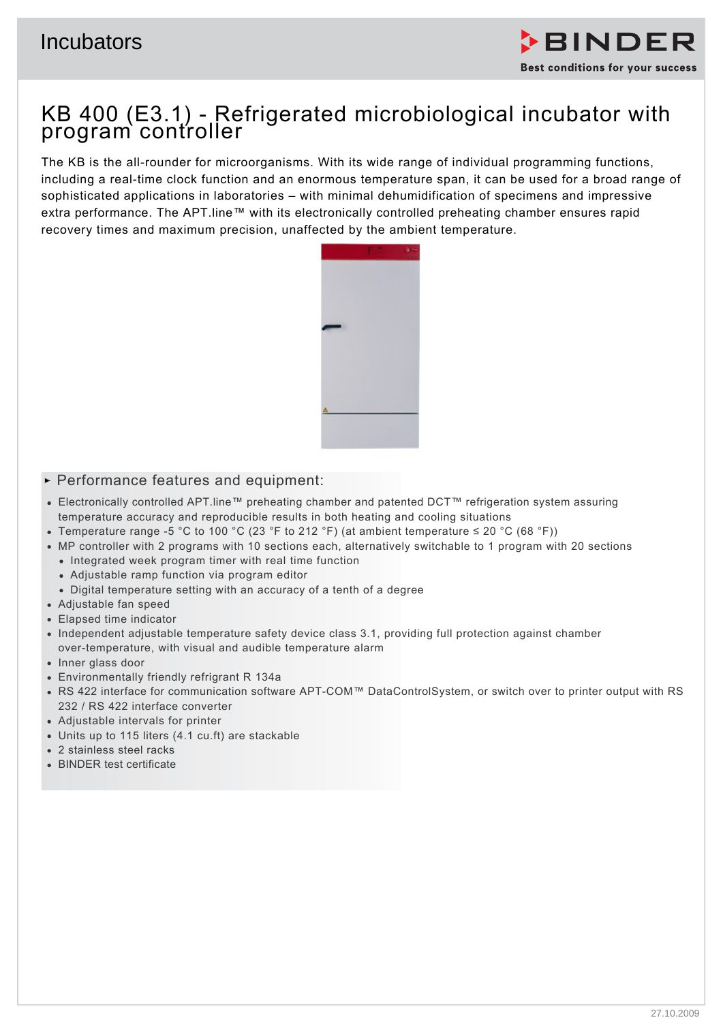

# KB 400 (E3.1) - Refrigerated microbiological incubator with program controller

The KB is the all-rounder for microorganisms. With its wide range of individual programming functions, including a real-time clock function and an enormous temperature span, it can be used for a broad range of sophisticated applications in laboratories – with minimal dehumidification of specimens and impressive extra performance. The APT.line™ with its electronically controlled preheating chamber ensures rapid recovery times and maximum precision, unaffected by the ambient temperature.



## $\blacktriangleright$  Performance features and equipment:

- Electronically controlled APT.line™ preheating chamber and patented DCT™ refrigeration system assuring temperature accuracy and reproducible results in both heating and cooling situations
- Temperature range -5 °C to 100 °C (23 °F to 212 °F) (at ambient temperature ≤ 20 °C (68 °F))
- MP controller with 2 programs with 10 sections each, alternatively switchable to 1 program with 20 sections
	- Integrated week program timer with real time function
	- Adjustable ramp function via program editor
	- Digital temperature setting with an accuracy of a tenth of a degree
- Adjustable fan speed
- Elapsed time indicator
- Independent adjustable temperature safety device class 3.1, providing full protection against chamber over-temperature, with visual and audible temperature alarm
- Inner glass door
- Environmentally friendly refrigrant R 134a
- RS 422 interface for communication software APT-COM™ DataControlSystem, or switch over to printer output with RS 232 / RS 422 interface converter
- Adjustable intervals for printer
- Units up to 115 liters (4.1 cu.ft) are stackable
- 2 stainless steel racks
- BINDER test certificate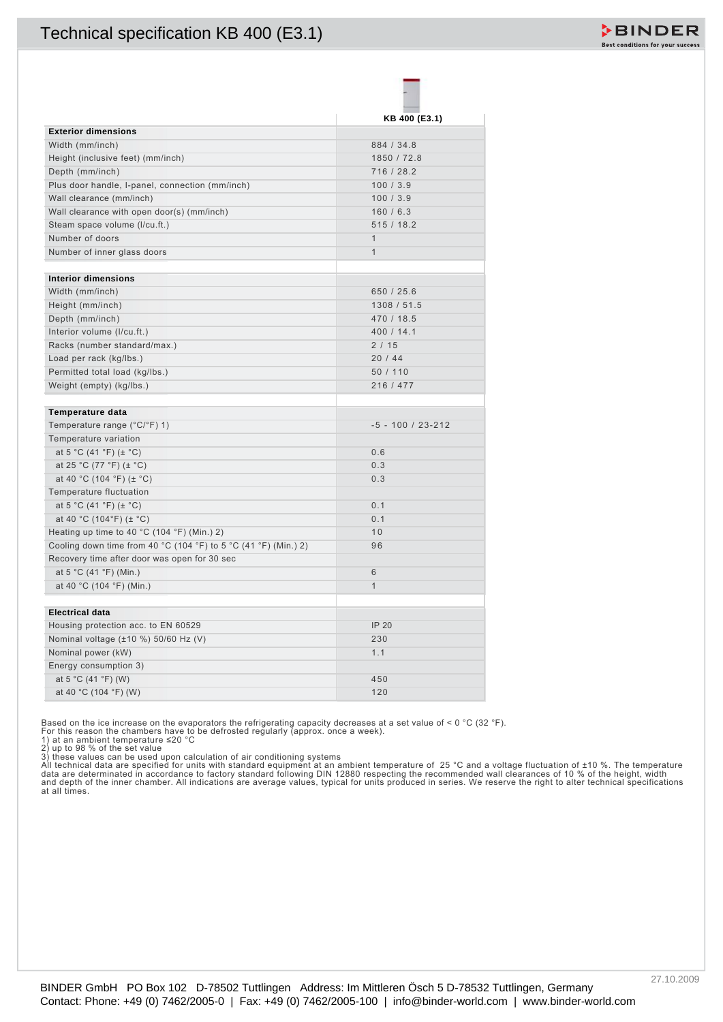

| <b>Exterior dimensions</b><br>Width (mm/inch)<br>Height (inclusive feet) (mm/inch)<br>Depth (mm/inch) |                              |  |
|-------------------------------------------------------------------------------------------------------|------------------------------|--|
|                                                                                                       | KB 400 (E3.1)                |  |
|                                                                                                       |                              |  |
|                                                                                                       | 884 / 34.8                   |  |
|                                                                                                       | 1850 / 72.8                  |  |
|                                                                                                       | 716 / 28.2                   |  |
| Plus door handle, I-panel, connection (mm/inch)                                                       | 100/3.9                      |  |
| Wall clearance (mm/inch)                                                                              | 100/3.9                      |  |
| Wall clearance with open door(s) (mm/inch)                                                            | 160/6.3                      |  |
| Steam space volume (I/cu.ft.)                                                                         | 515/18.2                     |  |
| Number of doors<br>Number of inner glass doors                                                        | $\mathbf{1}$<br>$\mathbf{1}$ |  |
|                                                                                                       |                              |  |
| <b>Interior dimensions</b>                                                                            |                              |  |
| Width (mm/inch)                                                                                       | 650 / 25.6                   |  |
| Height (mm/inch)                                                                                      | 1308 / 51.5                  |  |
| Depth (mm/inch)                                                                                       | 470 / 18.5                   |  |
| Interior volume (I/cu.ft.)                                                                            | 400 / 14.1                   |  |
| Racks (number standard/max.)                                                                          | 2/15                         |  |
| Load per rack (kg/lbs.)                                                                               | 20/44                        |  |
| Permitted total load (kg/lbs.)                                                                        | 50 / 110                     |  |
| Weight (empty) (kg/lbs.)                                                                              | 216 / 477                    |  |
| Temperature data                                                                                      |                              |  |
| Temperature range (°C/°F) 1)                                                                          | $-5 - 100 / 23 - 212$        |  |
| Temperature variation                                                                                 |                              |  |
| at 5 °C (41 °F) ( $\pm$ °C)                                                                           | 0.6                          |  |
| at 25 °C (77 °F) ( $\pm$ °C)                                                                          | 0.3                          |  |
| at 40 °C (104 °F) ( $\pm$ °C)                                                                         | 0.3                          |  |
| Temperature fluctuation                                                                               |                              |  |
| at 5 °C (41 °F) ( $\pm$ °C)                                                                           | 0.1                          |  |
| at 40 °C (104°F) ( $\pm$ °C)                                                                          | 0.1                          |  |
| Heating up time to 40 °C (104 °F) (Min.) 2)                                                           | 10                           |  |
| Cooling down time from 40 °C (104 °F) to 5 °C (41 °F) (Min.) 2)                                       | 96                           |  |
| Recovery time after door was open for 30 sec<br>at 5 °C (41 °F) (Min.)                                | 6                            |  |
| at 40 °C (104 °F) (Min.)                                                                              | $\mathbf{1}$                 |  |
|                                                                                                       |                              |  |
| <b>Electrical data</b>                                                                                |                              |  |
| Housing protection acc. to EN 60529                                                                   | <b>IP 20</b>                 |  |
| Nominal voltage (±10 %) 50/60 Hz (V)                                                                  | 230                          |  |
| Nominal power (kW)                                                                                    | 1.1                          |  |
| Energy consumption 3)                                                                                 |                              |  |
| at 5 °C (41 °F) (W)                                                                                   | 450                          |  |
| at 40 °C (104 °F) (W)                                                                                 | 120                          |  |

2) up to 98 % of the set value<br>3) these values can be used upon calculation of air conditioning systems<br>All technical data are specified for units with standard equipment at an ambient temperature of 25 °C and a voltage fl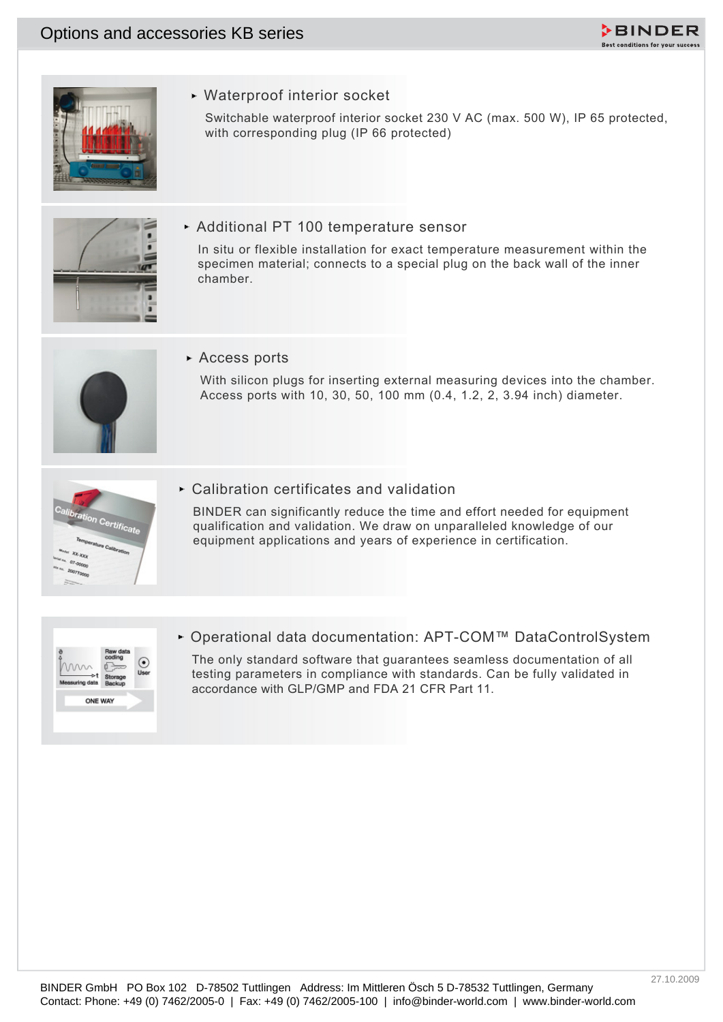



Waterproof interior socket

Switchable waterproof interior socket 230 V AC (max. 500 W), IP 65 protected, with corresponding plug (IP 66 protected)



Additional PT 100 temperature sensor

Contact: Phone: +49 (4) 7462-2006-0 | Fax: +49 (1) 7462-2006-0 | Fax: +49 (1) 7462-2006-0 | info@binder-world.com | Particular contact: 230 V MC (max. 650 W). IP dS promoted,<br>
and the mone options and particular comments a In situ or flexible installation for exact temperature measurement within the specimen material; connects to a special plug on the back wall of the inner chamber.



Access ports

With silicon plugs for inserting external measuring devices into the chamber. Access ports with 10, 30, 50, 100 mm (0.4, 1.2, 2, 3.94 inch) diameter.



Calibration certificates and validation

BINDER can significantly reduce the time and effort needed for equipment qualification and validation. We draw on unparalleled knowledge of our equipment applications and years of experience in certification.



Operational data documentation: APT-COM™ DataControlSystem

The only standard software that guarantees seamless documentation of all testing parameters in compliance with standards. Can be fully validated in accordance with GLP/GMP and FDA 21 CFR Part 11.